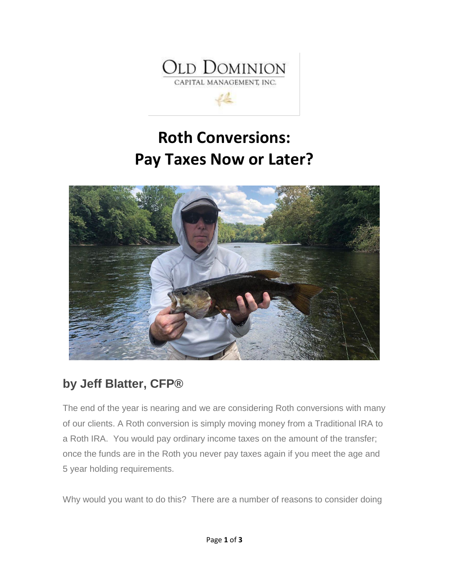

 $\mathcal{L}_{\mathcal{L}}^{\mathcal{L}}$ 





## **by Jeff Blatter, CFP®**

The end of the year is nearing and we are considering Roth conversions with many of our clients. A Roth conversion is simply moving money from a Traditional IRA to a Roth IRA. You would pay ordinary income taxes on the amount of the transfer; once the funds are in the Roth you never pay taxes again if you meet the age and 5 year holding requirements.

Why would you want to do this? There are a number of reasons to consider doing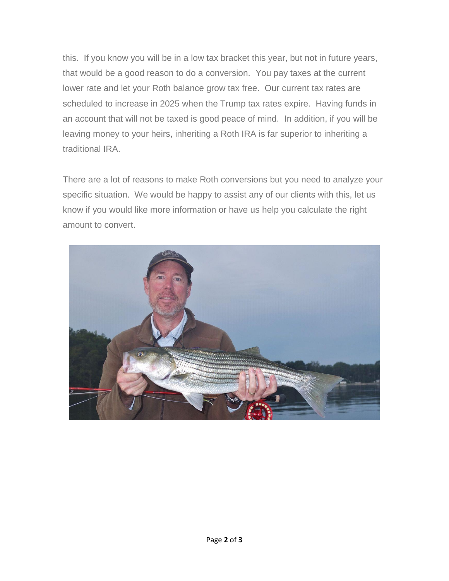this. If you know you will be in a low tax bracket this year, but not in future years, that would be a good reason to do a conversion. You pay taxes at the current lower rate and let your Roth balance grow tax free. Our current tax rates are scheduled to increase in 2025 when the Trump tax rates expire. Having funds in an account that will not be taxed is good peace of mind. In addition, if you will be leaving money to your heirs, inheriting a Roth IRA is far superior to inheriting a traditional IRA.

There are a lot of reasons to make Roth conversions but you need to analyze your specific situation. We would be happy to assist any of our clients with this, let us know if you would like more information or have us help you calculate the right amount to convert.